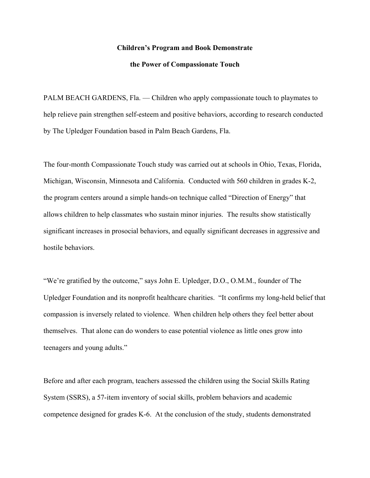#### **Children's Program and Book Demonstrate**

#### **the Power of Compassionate Touch**

PALM BEACH GARDENS, Fla. — Children who apply compassionate touch to playmates to help relieve pain strengthen self-esteem and positive behaviors, according to research conducted by The Upledger Foundation based in Palm Beach Gardens, Fla.

The four-month Compassionate Touch study was carried out at schools in Ohio, Texas, Florida, Michigan, Wisconsin, Minnesota and California. Conducted with 560 children in grades K-2, the program centers around a simple hands-on technique called "Direction of Energy" that allows children to help classmates who sustain minor injuries. The results show statistically significant increases in prosocial behaviors, and equally significant decreases in aggressive and hostile behaviors.

"We're gratified by the outcome," says John E. Upledger, D.O., O.M.M., founder of The Upledger Foundation and its nonprofit healthcare charities. "It confirms my long-held belief that compassion is inversely related to violence. When children help others they feel better about themselves. That alone can do wonders to ease potential violence as little ones grow into teenagers and young adults."

Before and after each program, teachers assessed the children using the Social Skills Rating System (SSRS), a 57-item inventory of social skills, problem behaviors and academic competence designed for grades K-6. At the conclusion of the study, students demonstrated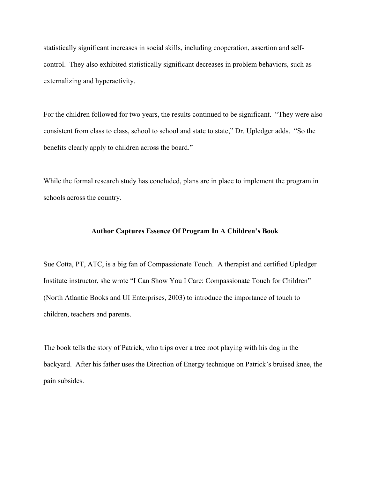statistically significant increases in social skills, including cooperation, assertion and selfcontrol. They also exhibited statistically significant decreases in problem behaviors, such as externalizing and hyperactivity.

For the children followed for two years, the results continued to be significant. "They were also consistent from class to class, school to school and state to state," Dr. Upledger adds. "So the benefits clearly apply to children across the board."

While the formal research study has concluded, plans are in place to implement the program in schools across the country.

#### **Author Captures Essence Of Program In A Children's Book**

Sue Cotta, PT, ATC, is a big fan of Compassionate Touch. A therapist and certified Upledger Institute instructor, she wrote "I Can Show You I Care: Compassionate Touch for Children" (North Atlantic Books and UI Enterprises, 2003) to introduce the importance of touch to children, teachers and parents.

The book tells the story of Patrick, who trips over a tree root playing with his dog in the backyard. After his father uses the Direction of Energy technique on Patrick's bruised knee, the pain subsides.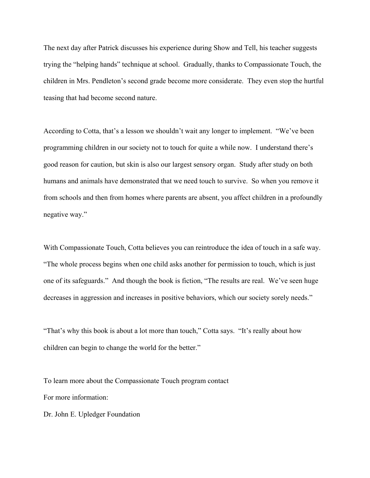The next day after Patrick discusses his experience during Show and Tell, his teacher suggests trying the "helping hands" technique at school. Gradually, thanks to Compassionate Touch, the children in Mrs. Pendleton's second grade become more considerate. They even stop the hurtful teasing that had become second nature.

According to Cotta, that's a lesson we shouldn't wait any longer to implement. "We've been programming children in our society not to touch for quite a while now. I understand there's good reason for caution, but skin is also our largest sensory organ. Study after study on both humans and animals have demonstrated that we need touch to survive. So when you remove it from schools and then from homes where parents are absent, you affect children in a profoundly negative way."

With Compassionate Touch, Cotta believes you can reintroduce the idea of touch in a safe way. "The whole process begins when one child asks another for permission to touch, which is just one of its safeguards." And though the book is fiction, "The results are real. We've seen huge decreases in aggression and increases in positive behaviors, which our society sorely needs."

"That's why this book is about a lot more than touch," Cotta says. "It's really about how children can begin to change the world for the better."

To learn more about the Compassionate Touch program contact For more information:

Dr. John E. Upledger Foundation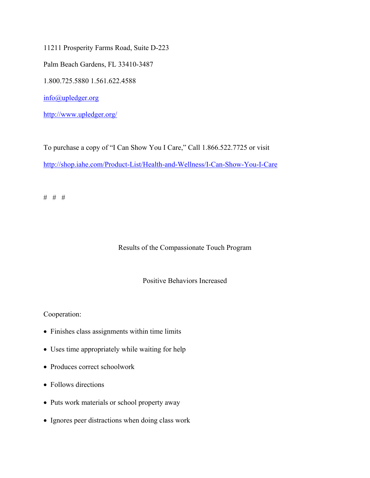11211 Prosperity Farms Road, Suite D-223

Palm Beach Gardens, FL 33410-3487

1.800.725.5880 1.561.622.4588

info@upledger.org

http://www.upledger.org/

To purchase a copy of "I Can Show You I Care," Call 1.866.522.7725 or visit http://shop.iahe.com/Product-List/Health-and-Wellness/I-Can-Show-You-I-Care

# # #

### Results of the Compassionate Touch Program

#### Positive Behaviors Increased

Cooperation:

- Finishes class assignments within time limits
- Uses time appropriately while waiting for help
- Produces correct schoolwork
- Follows directions
- Puts work materials or school property away
- Ignores peer distractions when doing class work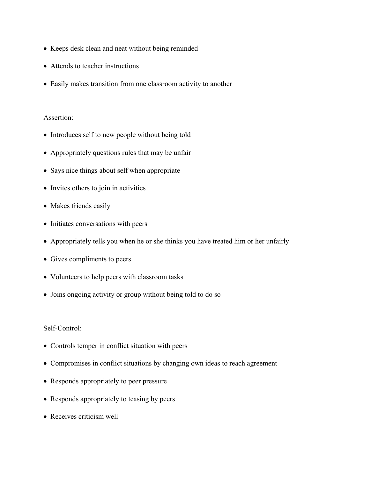- Keeps desk clean and neat without being reminded
- Attends to teacher instructions
- Easily makes transition from one classroom activity to another

## Assertion:

- Introduces self to new people without being told
- Appropriately questions rules that may be unfair
- Says nice things about self when appropriate
- Invites others to join in activities
- Makes friends easily
- Initiates conversations with peers
- Appropriately tells you when he or she thinks you have treated him or her unfairly
- Gives compliments to peers
- Volunteers to help peers with classroom tasks
- Joins ongoing activity or group without being told to do so

### Self-Control:

- Controls temper in conflict situation with peers
- Compromises in conflict situations by changing own ideas to reach agreement
- Responds appropriately to peer pressure
- Responds appropriately to teasing by peers
- Receives criticism well